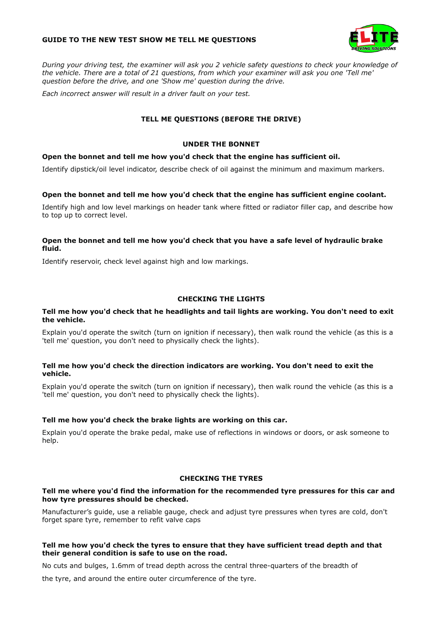### **GUIDE TO THE NEW TEST SHOW ME TELL ME QUESTIONS**



*During your driving test, the examiner will ask you 2 vehicle safety questions to check your knowledge of the vehicle. There are a total of 21 questions, from which your examiner will ask you one 'Tell me' question before the drive, and one 'Show me' question during the drive.* 

*Each incorrect answer will result in a driver fault on your test.* 

# **TELL ME QUESTIONS (BEFORE THE DRIVE)**

# **UNDER THE BONNET**

## **Open the bonnet and tell me how you'd check that the engine has sufficient oil.**

Identify dipstick/oil level indicator, describe check of oil against the minimum and maximum markers.

# **Open the bonnet and tell me how you'd check that the engine has sufficient engine coolant.**

Identify high and low level markings on header tank where fitted or radiator filler cap, and describe how to top up to correct level.

## **Open the bonnet and tell me how you'd check that you have a safe level of hydraulic brake fluid.**

Identify reservoir, check level against high and low markings.

# **CHECKING THE LIGHTS**

### **Tell me how you'd check that he headlights and tail lights are working. You don't need to exit the vehicle.**

Explain you'd operate the switch (turn on ignition if necessary), then walk round the vehicle (as this is a 'tell me' question, you don't need to physically check the lights).

## **Tell me how you'd check the direction indicators are working. You don't need to exit the vehicle.**

Explain you'd operate the switch (turn on ignition if necessary), then walk round the vehicle (as this is a 'tell me' question, you don't need to physically check the lights).

## **Tell me how you'd check the brake lights are working on this car.**

Explain you'd operate the brake pedal, make use of reflections in windows or doors, or ask someone to help.

## **CHECKING THE TYRES**

## **Tell me where you'd find the information for the recommended tyre pressures for this car and how tyre pressures should be checked.**

Manufacturer's guide, use a reliable gauge, check and adjust tyre pressures when tyres are cold, don't forget spare tyre, remember to refit valve caps

# **Tell me how you'd check the tyres to ensure that they have sufficient tread depth and that their general condition is safe to use on the road.**

No cuts and bulges, 1.6mm of tread depth across the central three-quarters of the breadth of the tyre, and around the entire outer circumference of the tyre.